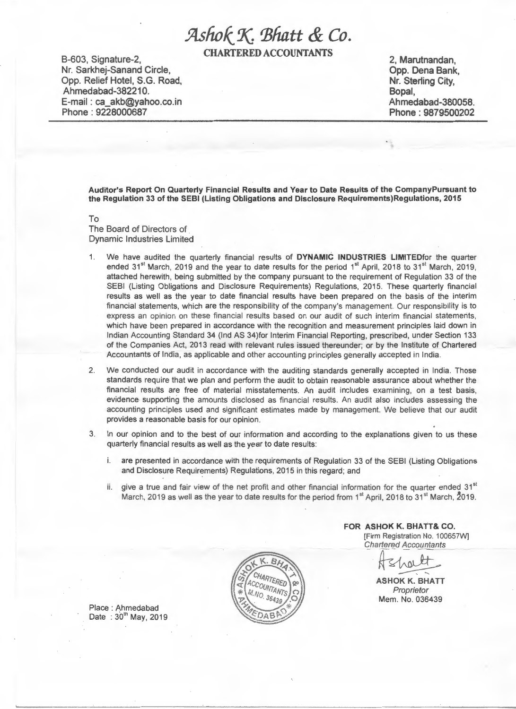# *.9Lsfwk\_'l( 'Bhatt &* Co.

CHARTERED ACCOUNTANTS

B-603, Signature-2, Nr. Sarkhej-Sanand Circle, Opp. Relief Hotel, S.G. Road, Ahmedabad-382210. E-mail : ca\_akb@yahoo.co.in Phone : 9228000687

2, Marutnandan, Opp. Dena Bank, Nr. Sterling City, Bopal, Ahmedabad-380058. Phone : 9879500202

Auditor's Report On Quarterly Financial Results and Year to Date Results of the CompanyPursuant to the Regulation 33 of the SEBI (Listing Obligations and Disclosure Requirements)Regulations, 2015

To The Board of Directors of Dynamic Industries Limited

- 1. We have audited the quarterly financial results of DYNAMIC INDUSTRIES LIMITEDfor the quarter ended 31<sup>st</sup> March, 2019 and the year to date results for the period 1<sup>st</sup> April, 2018 to 31<sup>st</sup> March, 2019, attached herewith, being submitted by the company pursuant to the requirement of Regulation 33 of the SEBI (Listing Obligations and Disclosure Requirements) Regulations, 2015. These quarterly financial results as well as the year to date financial results have been prepared on the basis of the interim financial statements, which are the responsibility of the company's management. Our responsibility is to express an opinion on these financial results based on our audit of such interim financial statements, which have been prepared in accordance with the recognition and measurement principles laid down in Indian Accounting Standard 34 (lnd AS 34)for Interim Financial Reporting, prescribed, under Section 133 of the Companies Act, 2013 read with relevant rules issued thereunder; or by the Institute of Chartered Accountants of India, as applicable and other accounting principles generally accepted in India.
- 2. We conducted our audit in accordance with the auditing standards generally accepted in India. Those standards require that we plan and perform the audit to obtain reasonable assurance about whether the financial results are free of material misstatements. An audit includes examining, on a test basis, evidence supporting the amounts disclosed as financial results. An audit also includes assessing the accounting principles used and significant estimates made by management. We believe that our audit provides a reasonable basis for our opinion.
- 3. In our opinion and to the best of our information and according to the explanations given to us these quarterly financial results as well as the year to date results:
	- are presented in accordance with the requirements of Regulation 33 of the SEBI (Listing Obligations and Disclosure Requirements) Regulations, 2015 in this regard; and
	- ii. give a true and fair view of the net profit and other financial information for the quarter ended  $31<sup>st</sup>$ March, 2019 as well as the year to date results for the period from 1<sup>st</sup> April, 2018 to 31<sup>st</sup> March,  $2019$ .



Place : Ahmedabad Date:  $30^{\rm m}$  May, 2019 FOR ASHOK K. BHATT& CO. Firm Registration No. 100657W]<br>
Chartered Accountants<br>  $\sqrt{\frac{2}{12}}$ <br>
ASHOK K. BHATT Chartered Accountants

ASHOK K. BHATT Proprietor Mem. No. 036439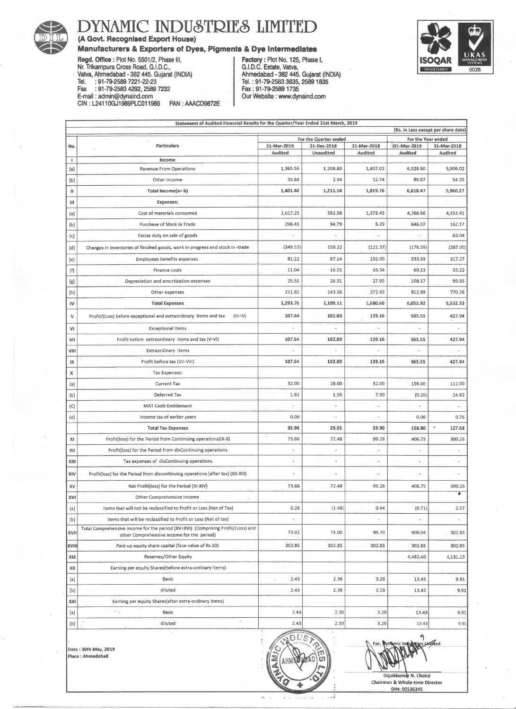

### 8 DYNAMIC INDUSTRIES LIMITED

(A Govt. Recognised Export House)

### Manufacturers & Exporters of Dyes, Pigments & Dye Intermediates

Regd. Office: Plot No. 5501/2, Phase Ill, Nr. Trikampura Cross Road, G.I.D.C., Valva, Ahmedabad - 382 445. Gujarat (INDIA) Tel. : 91-79-2589 7221-22-23 Fax : 91-79-2583 4292,2589 7232 E-mail : admin@dynaind.com CIN : L2411 OGJ1989PLC011989 PAN : AAACD9872E

Factory: Plot No. 125, Phase I, G.I.D.C. Estate, Valva, Ahmedabad - 382 445. Gujarat (INDIA) Tel.: 91-79-2583 3835, 25891835 Fax: 91-79-25891735 Our Website : www.dynaind.com



|                                                                                                                                                                                                  | Statement of Audited Financial Results for the Quarter/Year Ended 31st March, 2019                                             |                       |                          |                |                      |                      |  |  |  |  |
|--------------------------------------------------------------------------------------------------------------------------------------------------------------------------------------------------|--------------------------------------------------------------------------------------------------------------------------------|-----------------------|--------------------------|----------------|----------------------|----------------------|--|--|--|--|
|                                                                                                                                                                                                  | (Rs. In Lacs except per share data)                                                                                            |                       |                          |                |                      |                      |  |  |  |  |
|                                                                                                                                                                                                  |                                                                                                                                | For the Quarter ended |                          |                | For the Year ended   |                      |  |  |  |  |
| No.                                                                                                                                                                                              | Particulars                                                                                                                    | 31-Mar-2019           | 31-Dec-2018              | 31-Mar-2018    | 131-Mar-2019         | 31-Mar-2018          |  |  |  |  |
| Τ.                                                                                                                                                                                               | Income                                                                                                                         | Audited               | Unaudited                | Audited        | Audited              | Audited              |  |  |  |  |
| [a]                                                                                                                                                                                              | <b>Revenue From Operations</b>                                                                                                 | 1,365.56              | 1,208.80                 | 1,807.02       | 6,528.60             | 5,906.02             |  |  |  |  |
| [b]                                                                                                                                                                                              | Other Income                                                                                                                   | 35.84                 | 2.34                     | 12.74          | 89.87                | 54.25                |  |  |  |  |
| Ш                                                                                                                                                                                                | Total Income(a+b)                                                                                                              | 1,401.40              | 1,211.14                 | 1,819.76       | 6,618.47             | 5,960.27             |  |  |  |  |
| Ш                                                                                                                                                                                                | <b>Expenses:</b>                                                                                                               |                       |                          |                |                      |                      |  |  |  |  |
| [a]                                                                                                                                                                                              | Cost of materials consumed                                                                                                     | 1,017.25              | 582.38                   | 1,376.45       | 4,268.66             | 4,353.41             |  |  |  |  |
| [b]                                                                                                                                                                                              | Purchase of Stock in Trade                                                                                                     | 296.45                | 94.79                    | 6.29           | 646.07               | 162.17               |  |  |  |  |
| [c]                                                                                                                                                                                              | Excise duty on sale of goods                                                                                                   |                       |                          |                |                      | 63.04                |  |  |  |  |
| [d]                                                                                                                                                                                              | Changes in inventories of finished goods, work in progress and stock in -trade                                                 | (349.53)              | 158.22                   | (121.37)       | (176.59)             | (287.00)             |  |  |  |  |
| $[e]$                                                                                                                                                                                            | Employees benefits expenses                                                                                                    | 81.22                 | 87.14                    | 102.00         | 333.59               | 317.27               |  |  |  |  |
| $[f] % \begin{center} % \includegraphics[width=\linewidth]{imagesSupplemental_3.png} % \end{center} % \caption { % Our method can be used for the use of the image. % } % \label{fig:example} %$ | Finance costs                                                                                                                  | 11.04                 | 16.51                    | 16.34          | 60.13                | 53.22                |  |  |  |  |
| [g]                                                                                                                                                                                              | Depreciation and amortisation expenses                                                                                         | 25.51                 | 26.51                    | 27.95          | 108.17               | 99.95                |  |  |  |  |
|                                                                                                                                                                                                  | Other expenses                                                                                                                 | 211.82                | 143.56                   | 272.93         | 812.89               | 770.26               |  |  |  |  |
| IV                                                                                                                                                                                               | <b>Total Expenses</b>                                                                                                          | 1,293.76              | 1,109.11                 | 1,680.60       | 6,052.92             | 5,532.33             |  |  |  |  |
| v                                                                                                                                                                                                | Profit/(Loss) before exceptional and extraordinary items and tax<br>$(HH-V)$                                                   | 107.64                | 102.03                   | 139.16         | 565.55               | 427.94               |  |  |  |  |
| V1                                                                                                                                                                                               | <b>Exceptional Items</b>                                                                                                       |                       |                          |                |                      | ×,                   |  |  |  |  |
| VII                                                                                                                                                                                              | Profit before extraordinary items and tax (V-VI)                                                                               | 107.64                | 102.03                   | 139.16         | 565.55               | 427.94               |  |  |  |  |
| VIII                                                                                                                                                                                             | <b>Extraordinary items</b>                                                                                                     |                       |                          |                | $\omega$             |                      |  |  |  |  |
| IX                                                                                                                                                                                               | Profit before tax (VII-VIII)                                                                                                   | 107.64                | 102.03                   | 139.16         | 565.55               | 427.94               |  |  |  |  |
| х                                                                                                                                                                                                | <b>Tax Expenses:</b>                                                                                                           |                       |                          |                |                      |                      |  |  |  |  |
| (a)                                                                                                                                                                                              | <b>Current Tax</b>                                                                                                             | 32.00                 | 28.00                    | 32.00          | 159.00               | 112.00               |  |  |  |  |
| (b)                                                                                                                                                                                              | Deferred Tax                                                                                                                   | 1.92                  | 1.55                     | 7.90           | (0.26)               | 14.92                |  |  |  |  |
| (C)                                                                                                                                                                                              | <b>MAT Cedit Entitlement</b>                                                                                                   | ÷,                    | $\overline{\phantom{a}}$ |                |                      |                      |  |  |  |  |
| (d)                                                                                                                                                                                              | Income tax of earlier years                                                                                                    | 0.06                  |                          | ı.             | 0.06                 | 0.76                 |  |  |  |  |
|                                                                                                                                                                                                  | <b>Total Tax Expenses</b>                                                                                                      | 33.98                 | 29.55                    | 39.90          | 158.80               | 127.68               |  |  |  |  |
| XI                                                                                                                                                                                               | Profit(loss) for the Period from Continuing operations(IX-X)                                                                   | $\epsilon$<br>73.66   | 72.48                    | 99.26          | 406.75               | 300.26               |  |  |  |  |
| XII                                                                                                                                                                                              | Profit(loss) for the Period from disContinuing operations                                                                      | ×,                    | $\rightarrow$            | $\overline{a}$ |                      | $\frac{1}{2}$        |  |  |  |  |
| XIII                                                                                                                                                                                             | Tax expenses of disContinuing operations                                                                                       | $\ddot{\phantom{a}}$  | ×.                       | ٠              | $\ddot{\phantom{a}}$ | ÷                    |  |  |  |  |
| XIV                                                                                                                                                                                              | Profit(loss) for the Period from discontinuing operations (after tax) (XII-XIII)                                               |                       |                          | ٠              |                      |                      |  |  |  |  |
| XV                                                                                                                                                                                               | Net Profit(loss) for the Period (XI-XIV)                                                                                       | 73.66                 | 72.48                    | 99.26          | 406.75               | 300.26               |  |  |  |  |
| XVI                                                                                                                                                                                              | Other Comprehensive Income                                                                                                     |                       |                          |                |                      | $\overline{\bullet}$ |  |  |  |  |
| $[{\sf a}]$                                                                                                                                                                                      | Items that will not be reclassified to Profit or Loss (Net of Tax)                                                             | 0.26                  | (1.48)                   | 0.44           | (0.71)               | 2.57                 |  |  |  |  |
|                                                                                                                                                                                                  | Items that will be reclassified to Profit or Loss (Net of tax)                                                                 |                       |                          |                |                      |                      |  |  |  |  |
| XVII                                                                                                                                                                                             | Total Comprehensive income for the period (XV+XVI) (Comprising Profit/(Loss) and<br>other Comprehensive income for the period) | 73.92                 | 71.00                    | 99.70          | 406.04               | 302.83               |  |  |  |  |
| XVII                                                                                                                                                                                             | Paid-up equity share capital (face value of Rs.10)                                                                             | 302.8S                | 302.85                   | 302.85         | 302.85               | 302.85               |  |  |  |  |
| XIX                                                                                                                                                                                              | Reserves/Other Equity                                                                                                          |                       |                          |                | 4,482.40             | 4,131.13             |  |  |  |  |
| XX                                                                                                                                                                                               | Earning per equity 5hares(before extra-ordinary Items)                                                                         |                       |                          |                |                      |                      |  |  |  |  |
| [a]                                                                                                                                                                                              | Basic                                                                                                                          | 2.43                  | 2.39                     | 3.28           | 13.43                | 9.91                 |  |  |  |  |
| [b]                                                                                                                                                                                              | diluted                                                                                                                        | 2.43                  | 2.39                     | 3.28           | 13.43                | 9.91                 |  |  |  |  |
| <b>XXI</b>                                                                                                                                                                                       | Earning per equity Shares(after extra-ordinary Items)                                                                          |                       |                          |                |                      |                      |  |  |  |  |
| [a]                                                                                                                                                                                              | $\sim$ $_{\rm A}$<br>Basic                                                                                                     | 2.43                  | 2.39                     | 3.28           | 13.43                | 9.91                 |  |  |  |  |
| [b]                                                                                                                                                                                              | ×<br>diluted                                                                                                                   | 2.43                  | 2.39                     | 3.28           | 13.43                | 9.91                 |  |  |  |  |

**ADUST** Date: 30th May, 2019<br>Place: Ahmedabad<br>Chairman & Whole-time Director AHMEDIZAD OF Dipakkumar N. Choksi Chairman & Whole-time Dir

k.

.,. ;

Chairman & Whole-time Director

٩ iniked

*:* DIN: 00536345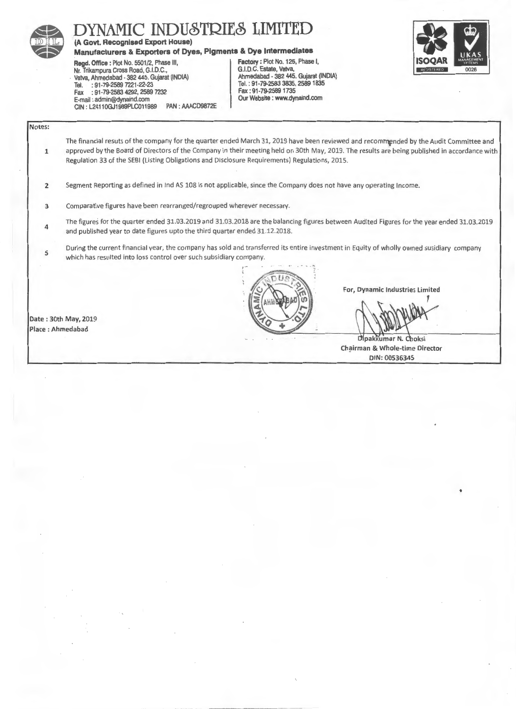

## DYNAMIC INDUSTRIES LIMITE

### (A Govt. Recognised Export House)

## Manufacturers & Exporters of Dyes, Pigments & Dye Intermediates<br>Read, Office : Plot No. 5501/2, Phase III. [ Factory : Plot No. 125, Phase I,

Regd. Office: Plot No. 5501/2, Phase III, Factory: Plot No. 125, Phase II, Phase III, Phase II, Phase I, Phase I, Phase I, Phase I, Phase I, Phase I, Phase I, Phase I, Phase I, Phase I, Phase I, Phase I, Phase I, Phase I, Nr. Trikampura Cross Road, G.I.D.C., (G.I.D.C. Estate, Vatva, G.I.D.C. Estate, Vatva, Gujarat (INDIA) Vatva, Ahmedabad - 382 445. Gujarat (INDIA) **Ahmedabad - 382 445. Gujarat (IN**<br>Tel. : 91-79-2589 7221-22-23 1835, 2589 1835 Tel. : 91-79-2589 7221-22-23<br>|- 91-79-2589 1735, 2589 7232<br>|- Fax : 91-79-2589 1735 Fax : 91-79-2583 4292, 2589 7232 Fax : 91 -79-2589 1735 E-mail : admin@dynaind.com CIN : L2411 OGJ1989PLC011989 PAN : AAACD9872E



Notes:

1

The financial resuts of the company for the quarter ended March 31, 2019 have been reviewed and recommended by the Audit Committee and approved by the Board of Directors of the Company in their meeting held on 30th May, 2019. The results are being published in accordance with Regulation 33 of the SEBI (Listing Obligations and Disclosure Requirements) Regulations, 2015.

2 Segment Reporting as defined in lnd AS 108 is not applicable, since the Company does not have any operating Income.

- 3 Comparative figures have been rearranged/regrouped wherever necessary.
- 4 The figures for the quarter ended 31.03.2019 and 31.03.2018 are the balancing figures between Audited Figures for the year ended 31.03.2019 and published year to date figures upto the third quarter ended 31.12.2018.
- 5 During the current financial year, the company has sold and transferred its entire investment in Equity of wholly owned susidiary company which has resulted into loss control over such subsidiary company.



For, Dynamic Industries Limited

1

Dipakkumar N. Choksi Chairman & Whole-time Director DIN: 00536345

•

Date : 30th May, 2019 Place :Ahmedabad